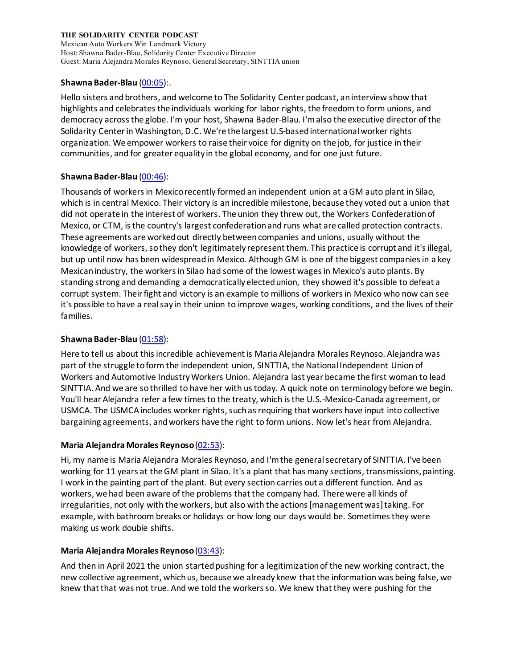Mexican Auto Workers Win Landmark Victory Host: Shawna Bader-Blau, Solidarity Center Executive Director Guest: Maria Alejandra Morales Reynoso, General Secretary, SINTTIA union

### **Shawna Bader-Blau** [\(00:05\)](https://www.rev.com/transcript-editor/Edit?token=pIVtgLhp83NonQJmTHPpkgrDVtztPboNmYDYG9K8xpvWCLH4BaepVYoUgbuh8itf7Sm4oKioDW9gtj3iw4XUvwYCuL8&loadFrom=DocumentDeeplink&ts=5.79):.

Hello sisters and brothers, and welcome to The Solidarity Center podcast, an interview show that highlights and celebrates the individuals working for labor rights, the freedom to form unions, and democracy across the globe. I'm your host, Shawna Bader-Blau. I'm also the executive director of the Solidarity Centerin Washington, D.C. We're the largest U.S-based international worker rights organization. We empower workers to raise their voice for dignity on the job, for justice in their communities, and for greater equality in the global economy, and for one just future.

## **Shawna Bader-Blau** [\(00:46\)](https://www.rev.com/transcript-editor/Edit?token=LArhPM6cu9KrYaROJzOCFNIn5BAfPjpooVkr1uWPhlm72HV5Bzzrf9cZrAYoxSoGcyCqs4eHGYA36GS3yPSOPnc0CAc&loadFrom=DocumentDeeplink&ts=46.84):

Thousands of workers in Mexico recently formed an independent union at a GM auto plant in Silao, which is in central Mexico. Their victory is an incredible milestone, because they voted out a union that did not operate in the interest of workers. The union they threw out, the Workers Confederation of Mexico, or CTM, is the country's largest confederation and runs what are called protection contracts. These agreements are worked out directly between companies and unions, usually without the knowledge of workers, so they don't legitimately represent them. This practice is corrupt and it's illegal, but up until now has been widespread in Mexico. Although GM is one of the biggest companies in a key Mexican industry, the workers in Silao had some of the lowest wages in Mexico's auto plants. By standing strong and demanding a democratically elected union, they showed it's possible to defeat a corrupt system. Their fight and victory is an example to millions of workers in Mexico who now can see it's possible to have a real say in their union to improve wages, working conditions, and the lives of their families.

# **Shawna Bader-Blau** [\(01:58\)](https://www.rev.com/transcript-editor/Edit?token=igUeq8Z0vh3w8A5DserqcShujPx5lGF6G_gzeAINFV7Huwe8C0ikpCmzndPCo5BYFW_RzVLJjIgb3cs6XOy-jIRxFQY&loadFrom=DocumentDeeplink&ts=118.51):

Here to tell us about this incredible achievement is Maria Alejandra Morales Reynoso. Alejandra was part of the struggle to form the independent union, SINTTIA, the National Independent Union of Workers and Automotive IndustryWorkers Union. Alejandra last year became the first woman to lead SINTTIA. And we are so thrilled to have her with us today. A quick note on terminology before we begin. You'll hear Alejandra refer a few times to the treaty, which is the U.S.-Mexico-Canada agreement, or USMCA. The USMCA includes worker rights, such as requiring that workers have input into collective bargaining agreements, and workers have the right to form unions. Now let's hear from Alejandra.

# **Maria Alejandra Morales Reynoso**[\(02:53\)](https://www.rev.com/transcript-editor/Edit?token=Rkn0TYEn2FNg2ddqbIyzGGKG9JYj0dj4WKFFnX_kjdHv-OoKSZXuqdeULKAujXpyrGZzaxAmv1bDScSsxhgIgjpCH0U&loadFrom=DocumentDeeplink&ts=173.33):

Hi, my name is Maria Alejandra Morales Reynoso, and I'm the general secretary of SINTTIA. I've been working for 11 years at the GM plant in Silao. It's a plant that has many sections, transmissions, painting. I work in the painting part of the plant. But every section carries out a different function. And as workers, we had been aware of the problems that the company had. There were all kinds of irregularities, not only with the workers, but also with the actions [management was] taking. For example, with bathroom breaks or holidays or how long our days would be. Sometimes they were making us work double shifts.

### **Maria Alejandra Morales Reynoso**[\(03:43\)](https://www.rev.com/transcript-editor/Edit?token=EAWyNRNXGQk-C6YYv7Kh-mFhwkto678sWdtb0TFZynGBb2TbY0hcu1GwPzYwoPKCKorbBYaEpUluZMd45YIHgfqzRa4&loadFrom=DocumentDeeplink&ts=223.43):

And then in April 2021 the union started pushing for a legitimization of the new working contract, the new collective agreement, which us, because we already knew that the information was being false, we knew that that was not true. And we told the workers so. We knew that they were pushing for the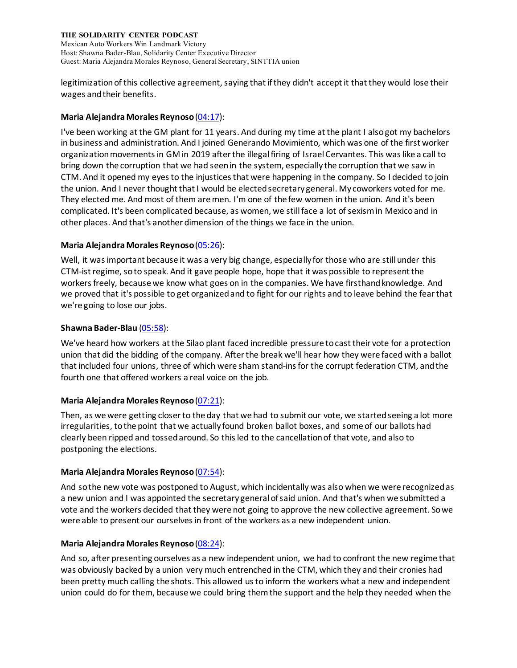Mexican Auto Workers Win Landmark Victory Host: Shawna Bader-Blau, Solidarity Center Executive Director Guest: Maria Alejandra Morales Reynoso, General Secretary, SINTTIA union

legitimization of this collective agreement, saying that if they didn't accept it that they would lose their wages and their benefits.

### **Maria Alejandra Morales Reynoso**[\(04:17\)](https://www.rev.com/transcript-editor/Edit?token=XQUW9l0SF4DX8okf2jKPpV_kUEmMYGIJOgRcybDWWdIAx_4XfFIEkU9FwuV7tsLPTNOOykslaqHMehS2P_UIf-RCIsY&loadFrom=DocumentDeeplink&ts=257.49):

I've been working at the GM plant for 11 years. And during my time at the plant I also got my bachelors in business and administration. And I joined Generando Movimiento, which was one of the first worker organization movements in GM in 2019 after the illegal firing of Israel Cervantes. This was like a call to bring down the corruption that we had seen in the system, especially the corruption that we saw in CTM. And it opened my eyes to the injustices that were happening in the company. So I decided to join the union. And I never thought that I would be elected secretary general. My coworkers voted for me. They elected me. And most of them are men. I'm one of the few women in the union. And it's been complicated. It's been complicated because, as women, we still face a lot of sexism in Mexico and in other places. And that's another dimension of the things we face in the union.

### **Maria Alejandra Morales Reynoso**[\(05:26\)](https://www.rev.com/transcript-editor/Edit?token=K106K-PsiNWeo9uS5CLASdU6xUVzxx4AFwAQJR7X3hmKMm7Cla9SUzAJh8of9a64MKRCkMb09RazGJcu-H3GxC9qbKw&loadFrom=DocumentDeeplink&ts=326.69):

Well, it was important because it was a very big change, especially for those who are still under this CTM-ist regime, so to speak. And it gave people hope, hope that it was possible to represent the workers freely, because we know what goes on in the companies. We have firsthand knowledge. And we proved that it's possible to get organized and to fight for our rights and to leave behind the fear that we're going to lose our jobs.

## **Shawna Bader-Blau** [\(05:58\)](https://www.rev.com/transcript-editor/Edit?token=kLiLte8Wtdi2e1w55x_1zUhINjP9HIM53ncuSXd9iaLCm6dfqS7XQFOwUUDdUzzJYgHPV1rkRxzrgq5ZwYsXpFTVk6M&loadFrom=DocumentDeeplink&ts=358.69):

We've heard how workers at the Silao plant faced incredible pressure to cast their vote for a protection union that did the bidding of the company. After the break we'll hear how they were faced with a ballot that included four unions, three of which were sham stand-ins for the corrupt federation CTM, and the fourth one that offered workers a real voice on the job.

### **Maria Alejandra Morales Reynoso**[\(07:21\)](https://www.rev.com/transcript-editor/Edit?token=52QAD5StlRKd0NbdvTSOc5h1r7NIIJnGFAOGZs7CV-DfXYiRmaYes7v-v91_LFKGnUtxtUXuiR9iWTgjqFyigR3cqI8&loadFrom=DocumentDeeplink&ts=441.46):

Then, as we were getting closer to the day that we had to submit our vote, we started seeing a lot more irregularities, to the point that we actually found broken ballot boxes, and some of our ballots had clearly been ripped and tossed around. So this led to the cancellation of that vote, and also to postponing the elections.

### **Maria Alejandra Morales Reynoso**[\(07:54\)](https://www.rev.com/transcript-editor/Edit?token=s5FpSET7Lp-5o7Pl3Dzljfe5vgszuitXkh4npy8pAVLH67hfFW8RvGY8wZwwuUKa-dakbbGfhptK2mCk540IhLPzWhw&loadFrom=DocumentDeeplink&ts=474.96):

And so the new vote was postponed to August, which incidentally was also when we were recognized as a new union and I was appointed the secretary general of said union. And that's when we submitted a vote and the workers decided that they were not going to approve the new collective agreement. So we were able to present our ourselves in front of the workers as a new independent union.

### **Maria Alejandra Morales Reynoso**[\(08:24\)](https://www.rev.com/transcript-editor/Edit?token=tpi2MlC95YvzFAd95BqJ592zVpjXOgvy95eStTOfaz6WTiZRhDLo4rAU3Ash5mZSM7AquUi5bzq9JtWBI2rTh9y9q_4&loadFrom=DocumentDeeplink&ts=504.39):

And so, after presenting ourselves as a new independent union, we had to confront the new regime that was obviously backed by a union very much entrenched in the CTM, which they and their cronies had been pretty much calling the shots. This allowed us to inform the workers what a new and independent union could do for them, because we could bring them the support and the help they needed when the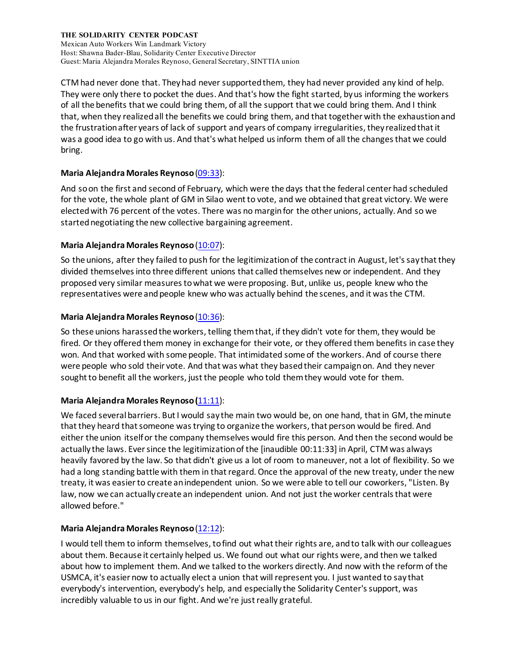Mexican Auto Workers Win Landmark Victory Host: Shawna Bader-Blau, Solidarity Center Executive Director Guest: Maria Alejandra Morales Reynoso, General Secretary, SINTTIA union

CTM had never done that. They had never supported them, they had never provided any kind of help. They were only there to pocket the dues. And that's how the fight started, by us informing the workers of all the benefits that we could bring them, of all the support that we could bring them. And I think that, when they realized all the benefits we could bring them, and that together with the exhaustion and the frustration after years of lack of support and years of company irregularities, they realized that it was a good idea to go with us. And that's what helped us inform them of all the changes that we could bring.

# **Maria Alejandra Morales Reynoso**[\(09:33\)](https://www.rev.com/transcript-editor/Edit?token=EEFqlJD1TEsr-CtSFlQV1f_I4Vtz-uvZ1EkIcOG6H9NI9gSdyiJFYgAzuKOaINwFj92IlnWEkkUpPBqes3i2diVHKso&loadFrom=DocumentDeeplink&ts=573.55):

And so on the first and second of February, which were the days that the federal center had scheduled for the vote, the whole plant of GM in Silao went to vote, and we obtained that great victory. We were elected with 76 percent of the votes. There was no margin for the other unions, actually. And so we started negotiating the new collective bargaining agreement.

## **Maria Alejandra Morales Reynoso**[\(10:07\)](https://www.rev.com/transcript-editor/Edit?token=tpdIfeKZZ3z1dm1AKjSzY8LZVT0kiqGX79pPLrcxrzCiuqC8RXx5iBQuOLgAPaVTSNi-FUxltLaqaPhbh-Buk6aPM7g&loadFrom=DocumentDeeplink&ts=607.02):

So the unions, after they failed to push for the legitimization of the contract in August, let's say that they divided themselves into three different unions that called themselves new or independent. And they proposed very similar measures to what we were proposing. But, unlike us, people knew who the representatives were and people knew who was actually behind the scenes, and it was the CTM.

## **Maria Alejandra Morales Reynoso**[\(10:36\)](https://www.rev.com/transcript-editor/Edit?token=i3S9bzuN-8lcboPwEkpawIdpNjC5zEvVdJ-eOuaE1Jma82NIChNWqdNIIgcMeo_EtWod6yLP4sNk7Apv5wRG9Ltt_Kg&loadFrom=DocumentDeeplink&ts=636.19):

So these unions harassed the workers, telling them that, if they didn't vote for them, they would be fired. Or they offered them money in exchange for their vote, or they offered them benefits in case they won. And that worked with some people. That intimidated some of the workers. And of course there were people who sold their vote. And that was what they based their campaign on. And they never sought to benefit all the workers, just the people who told them they would vote for them.

# **Maria Alejandra Morales Reynoso (**[11:11\)](https://www.rev.com/transcript-editor/Edit?token=Y04LqzCt1cDXXAuKy8EFUpmz8rNBMPTcZQvz8KvIr4n9cvemVMYpPitiztf7VscVqJ_bfA9vijb7F9bX-iI63jP5qnk&loadFrom=DocumentDeeplink&ts=671.18):

We faced several barriers. But I would say the main two would be, on one hand, that in GM, the minute that they heard that someone was trying to organize the workers, that person would be fired. And either the union itself or the company themselves would fire this person. And then the second would be actually the laws. Ever since the legitimization of the [inaudible 00:11:33] in April, CTM was always heavily favored by the law. So that didn't give us a lot of room to maneuver, not a lot of flexibility. So we had a long standing battle with them in that regard. Once the approval of the new treaty, under the new treaty, it was easier to create an independent union. So we were able to tell our coworkers, "Listen. By law, now we can actually create an independent union. And not just the worker centrals that were allowed before."

# **Maria Alejandra Morales Reynoso**[\(12:12\)](https://www.rev.com/transcript-editor/Edit?token=WmBDyuxvl3l0ka3B-U-j1O2bgdF5hULACcpXQRYokw8cg7pNwAccHNuB7fSLCDDsb9ZwtQ-MPsQg0kxipd9PryhmhQk&loadFrom=DocumentDeeplink&ts=732.85):

I would tell them to inform themselves, to find out what their rights are, and to talk with our colleagues about them. Because it certainly helped us. We found out what our rights were, and then we talked about how to implement them. And we talked to the workers directly. And now with the reform of the USMCA, it's easier now to actually elect a union that will represent you. I just wanted to say that everybody's intervention, everybody's help, and especially the Solidarity Center's support, was incredibly valuable to us in our fight. And we're just really grateful.